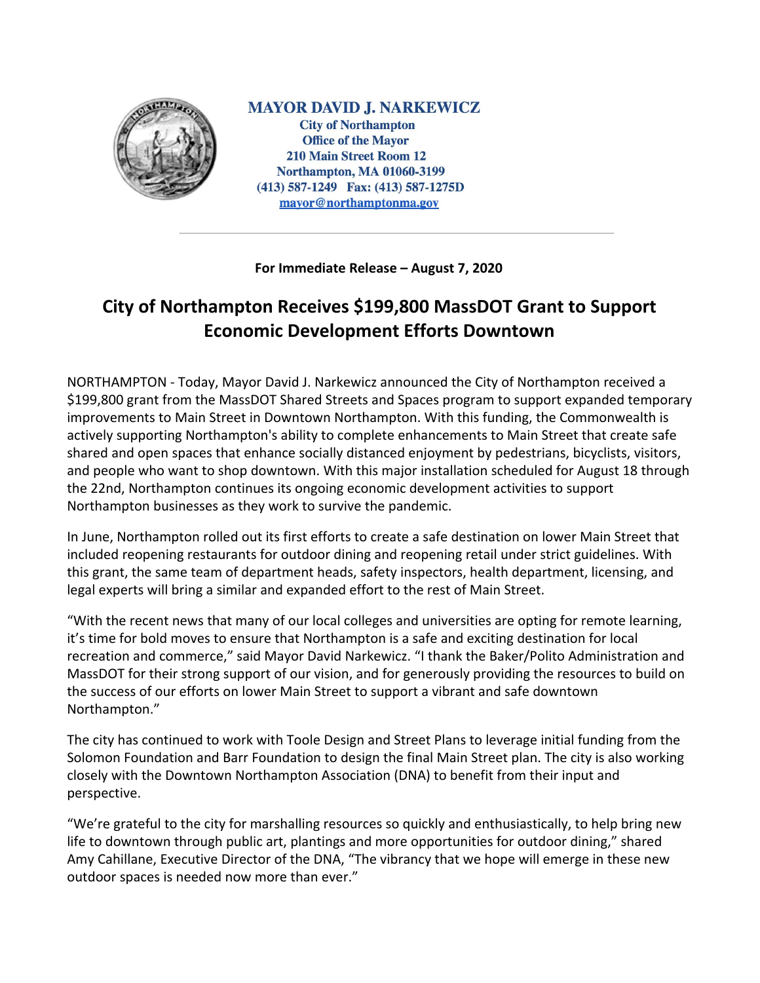

**MAYOR DAVID J. NARKEWICZ City of Northampton Office of the Mayor 210 Main Street Room 12** Northampton, MA 01060-3199 (413) 587-1249 Fax: (413) 587-1275D mayor@northamptonma.gov

**For Immediate Release – August 7, 2020**

## **City of Northampton Receives \$199,800 MassDOT Grant to Support Economic Development Efforts Downtown**

NORTHAMPTON - Today, Mayor David J. Narkewicz announced the City of Northampton received a \$199,800 grant from the MassDOT Shared Streets and Spaces program to support expanded temporary improvements to Main Street in Downtown Northampton. With this funding, the Commonwealth is actively supporting Northampton's ability to complete enhancements to Main Street that create safe shared and open spaces that enhance socially distanced enjoyment by pedestrians, bicyclists, visitors, and people who want to shop downtown. With this major installation scheduled for August 18 through the 22nd, Northampton continues its ongoing economic development activities to support Northampton businesses as they work to survive the pandemic.

In June, Northampton rolled out its first efforts to create a safe destination on lower Main Street that included reopening restaurants for outdoor dining and reopening retail under strict guidelines. With this grant, the same team of department heads, safety inspectors, health department, licensing, and legal experts will bring a similar and expanded effort to the rest of Main Street.

"With the recent news that many of our local colleges and universities are opting for remote learning, it's time for bold moves to ensure that Northampton is a safe and exciting destination for local recreation and commerce," said Mayor David Narkewicz. "I thank the Baker/Polito Administration and MassDOT for their strong support of our vision, and for generously providing the resources to build on the success of our efforts on lower Main Street to support a vibrant and safe downtown Northampton."

The city has continued to work with Toole Design and Street Plans to leverage initial funding from the Solomon Foundation and Barr Foundation to design the final Main Street plan. The city is also working closely with the Downtown Northampton Association (DNA) to benefit from their input and perspective.

"We're grateful to the city for marshalling resources so quickly and enthusiastically, to help bring new life to downtown through public art, plantings and more opportunities for outdoor dining," shared Amy Cahillane, Executive Director of the DNA, "The vibrancy that we hope will emerge in these new outdoor spaces is needed now more than ever."